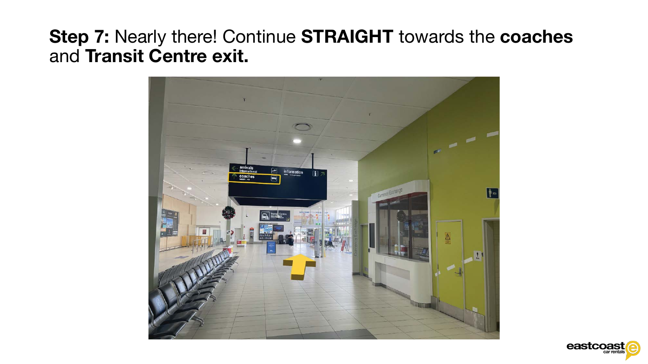## Step 7: Nearly there! Continue STRAIGHT towards the coaches and Transit Centre exit.



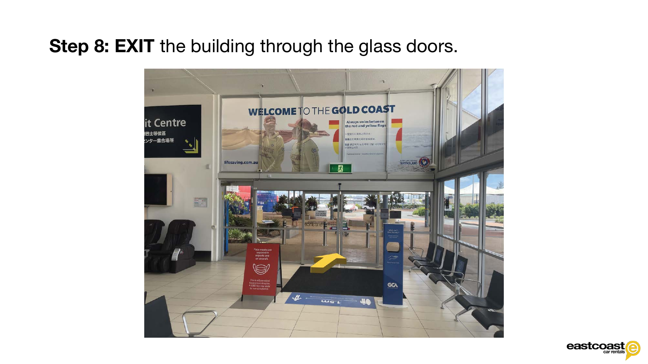## Step 8: EXIT the building through the glass doors.



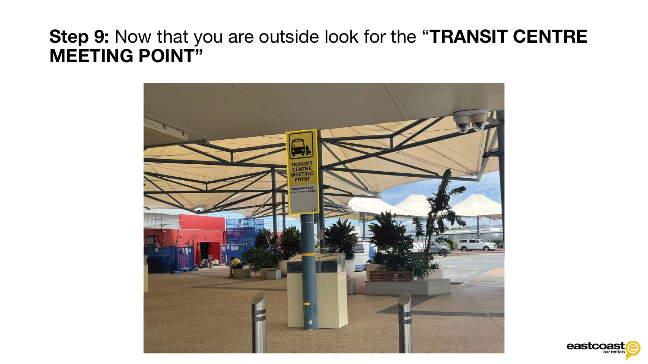## Step 9: Now that you are outside look for the "TRANSIT CENTRE MEETING POINT"